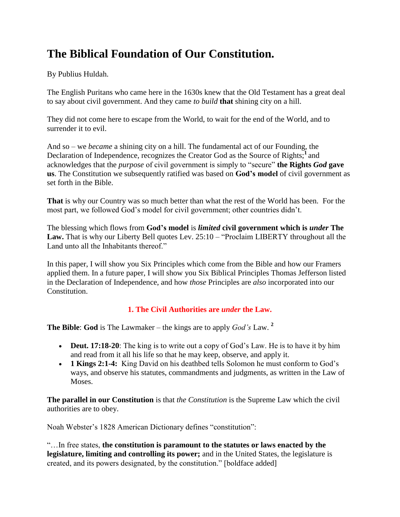# **The Biblical Foundation of Our Constitution.**

By Publius Huldah.

The English Puritans who came here in the 1630s knew that the Old Testament has a great deal to say about civil government. And they came *to build* **that** shining city on a hill.

They did not come here to escape from the World, to wait for the end of the World, and to surrender it to evil.

And so – we *became* a shining city on a hill. The fundamental act of our Founding, the Declaration of Independence, recognizes the Creator God as the Source of Rights;**<sup>1</sup>**and acknowledges that the *purpose* of civil government is simply to "secure" **the Rights** *God* **gave us**. The Constitution we subsequently ratified was based on **God's model** of civil government as set forth in the Bible.

**That** is why our Country was so much better than what the rest of the World has been. For the most part, we followed God's model for civil government; other countries didn't.

The blessing which flows from **God's model** is *limited* **civil government which is** *under* **The**  Law. That is why our Liberty Bell quotes Lev. 25:10 – "Proclaim LIBERTY throughout all the Land unto all the Inhabitants thereof."

In this paper, I will show you Six Principles which come from the Bible and how our Framers applied them. In a future paper, I will show you Six Biblical Principles Thomas Jefferson listed in the Declaration of Independence, and how *those* Principles are *also* incorporated into our Constitution.

## **1. The Civil Authorities are** *under* **the Law.**

**The Bible**: **God** is The Lawmaker – the kings are to apply *God's* Law. **<sup>2</sup>**

- **Deut. 17:18-20**: The king is to write out a copy of God's Law. He is to have it by him and read from it all his life so that he may keep, observe, and apply it.
- **1 Kings 2:1-4:** King David on his deathbed tells Solomon he must conform to God's ways, and observe his statutes, commandments and judgments, as written in the Law of Moses.

**The parallel in our Constitution** is that *the Constitution* is the Supreme Law which the civil authorities are to obey.

Noah Webster's 1828 American Dictionary defines "constitution":

"…In free states, **the constitution is paramount to the statutes or laws enacted by the legislature, limiting and controlling its power;** and in the United States, the legislature is created, and its powers designated, by the constitution." [boldface added]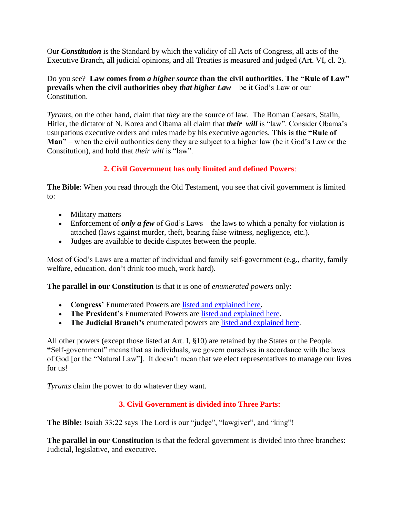Our *Constitution* is the Standard by which the validity of all Acts of Congress, all acts of the Executive Branch, all judicial opinions, and all Treaties is measured and judged (Art. VI, cl. 2).

Do you see? **Law comes from** *a higher source* **than the civil authorities. The "Rule of Law" prevails when the civil authorities obey** *that higher Law* – be it God's Law or our Constitution.

*Tyrants*, on the other hand, claim that *they* are the source of law. The Roman Caesars, Stalin, Hitler, the dictator of N. Korea and Obama all claim that *their will* is "law". Consider Obama's usurpatious executive orders and rules made by his executive agencies. **This is the "Rule of Man"** – when the civil authorities deny they are subject to a higher law (be it God's Law or the Constitution), and hold that *their will* is "law".

# **2. Civil Government has only limited and defined Powers**:

**The Bible**: When you read through the Old Testament, you see that civil government is limited to:

- Military matters
- Enforcement of *only a few* of God's Laws the laws to which a penalty for violation is attached (laws against murder, theft, bearing false witness, negligence, etc.).
- Judges are available to decide disputes between the people.

Most of God's Laws are a matter of individual and family self-government (e.g., charity, family welfare, education, don't drink too much, work hard).

**The parallel in our Constitution** is that it is one of *enumerated powers* only:

- **Congress'** Enumerated Powers are [listed and explained here](https://publiushuldah.wordpress.com/2009/09/08/congress-enumerated-powers/)**.**
- **The President's** Enumerated Powers are [listed and explained here.](https://publiushuldah.wordpress.com/2011/08/30/the-presidents-enumerated-powers-rulemaking-by-executive-agencies-executive-orders/)
- **The Judicial Branch's** enumerated powers are [listed and explained here.](https://publiushuldah.wordpress.com/category/enumerated-powers-of-federal-courts/)

All other powers (except those listed at Art. I, §10) are retained by the States or the People. **"**Self-government" means that as individuals, we govern ourselves in accordance with the laws of God [or the "Natural Law"]. It doesn't mean that we elect representatives to manage our lives for us!

*Tyrants* claim the power to do whatever they want.

## **3. Civil Government is divided into Three Parts:**

**The Bible:** Isaiah 33:22 says The Lord is our "judge", "lawgiver", and "king"!

**The parallel in our Constitution** is that the federal government is divided into three branches: Judicial, legislative, and executive.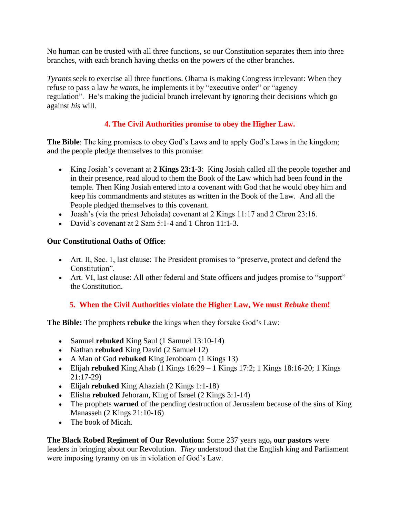No human can be trusted with all three functions, so our Constitution separates them into three branches, with each branch having checks on the powers of the other branches.

*Tyrants* seek to exercise all three functions. Obama is making Congress irrelevant: When they refuse to pass a law *he wants*, he implements it by "executive order" or "agency regulation". He's making the judicial branch irrelevant by ignoring their decisions which go against *his* will.

# **4. The Civil Authorities promise to obey the Higher Law.**

**The Bible**: The king promises to obey God's Laws and to apply God's Laws in the kingdom; and the people pledge themselves to this promise:

- King Josiah's covenant at **2 Kings 23:1-3**: King Josiah called all the people together and in their presence, read aloud to them the Book of the Law which had been found in the temple. Then King Josiah entered into a covenant with God that he would obey him and keep his commandments and statutes as written in the Book of the Law. And all the People pledged themselves to this covenant.
- Joash's (via the priest Jehoiada) covenant at 2 Kings 11:17 and 2 Chron 23:16.
- David's covenant at  $2$  Sam  $5:1-4$  and  $1$  Chron  $11:1-3$ .

# **Our Constitutional Oaths of Office**:

- Art. II, Sec. 1, last clause: The President promises to "preserve, protect and defend the Constitution".
- Art. VI, last clause: All other federal and State officers and judges promise to "support" the Constitution.

# **5. When the Civil Authorities violate the Higher Law, We must** *Rebuke* **them!**

**The Bible:** The prophets **rebuke** the kings when they forsake God's Law:

- Samuel **rebuked** King Saul (1 Samuel 13:10-14)
- Nathan **rebuked** King David (2 Samuel 12)
- A Man of God **rebuked** King Jeroboam (1 Kings 13)
- **•** Elijah **rebuked** King Ahab (1 Kings  $16:29 1$  Kings  $17:2$ ; 1 Kings  $18:16-20$ ; 1 Kings 21:17-29)
- Elijah **rebuked** King Ahaziah (2 Kings 1:1-18)
- Elisha **rebuked** Jehoram, King of Israel (2 Kings 3:1-14)
- The prophets **warned** of the pending destruction of Jerusalem because of the sins of King Manasseh (2 Kings 21:10-16)
- The book of Micah.

**The Black Robed Regiment of Our Revolution:** Some 237 years ago**, our pastors** were leaders in bringing about our Revolution. *They* understood that the English king and Parliament were imposing tyranny on us in violation of God's Law.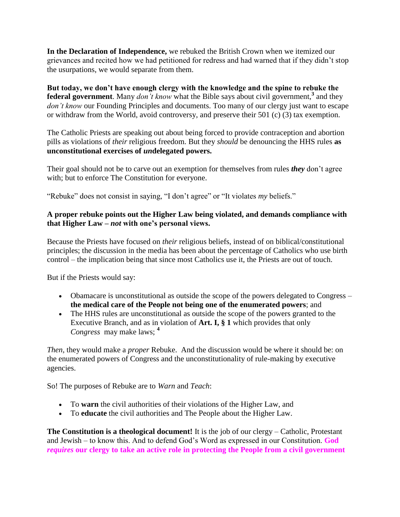**In the Declaration of Independence,** we rebuked the British Crown when we itemized our grievances and recited how we had petitioned for redress and had warned that if they didn't stop the usurpations, we would separate from them.

**But today, we don't have enough clergy with the knowledge and the spine to rebuke the federal government**. Many *don't know* what the Bible says about civil government,**<sup>3</sup>** and they *don't know* our Founding Principles and documents. Too many of our clergy just want to escape or withdraw from the World, avoid controversy, and preserve their 501 (c) (3) tax exemption.

The Catholic Priests are speaking out about being forced to provide contraception and abortion pills as violations of *their* religious freedom. But they *should* be denouncing the HHS rules **as unconstitutional exercises of** *un***delegated powers.**

Their goal should not be to carve out an exemption for themselves from rules *they* don't agree with; but to enforce The Constitution for everyone.

"Rebuke" does not consist in saying, "I don't agree" or "It violates *my* beliefs."

#### **A proper rebuke points out the Higher Law being violated, and demands compliance with that Higher Law –** *not* **with one's personal views.**

Because the Priests have focused on *their* religious beliefs, instead of on biblical/constitutional principles; the discussion in the media has been about the percentage of Catholics who use birth control – the implication being that since most Catholics use it, the Priests are out of touch.

But if the Priests would say:

- Obamacare is unconstitutional as outside the scope of the powers delegated to Congress **the medical care of the People not being one of the enumerated powers**; and
- The HHS rules are unconstitutional as outside the scope of the powers granted to the Executive Branch, and as in violation of **Art. I, § 1** which provides that only *Congress* may make laws; **<sup>4</sup>**

*Then,* they would make a *proper* Rebuke. And the discussion would be where it should be: on the enumerated powers of Congress and the unconstitutionality of rule-making by executive agencies.

So! The purposes of Rebuke are to *Warn* and *Teach*:

- To **warn** the civil authorities of their violations of the Higher Law, and
- To **educate** the civil authorities and The People about the Higher Law.

**The Constitution is a theological document!** It is the job of our clergy – Catholic, Protestant and Jewish – to know this. And to defend God's Word as expressed in our Constitution. **God**  *requires* **our clergy to take an active role in protecting the People from a civil government**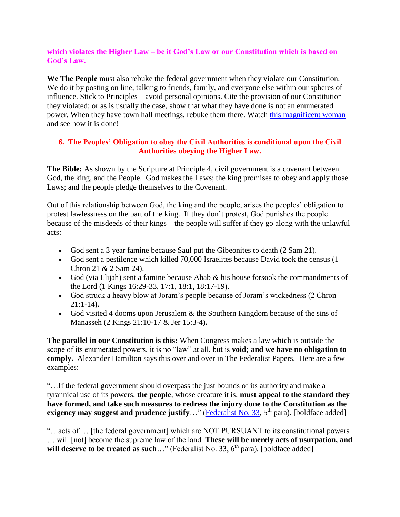#### **which violates the Higher Law – be it God's Law or our Constitution which is based on God's Law.**

**We The People** must also rebuke the federal government when they violate our Constitution. We do it by posting on line, talking to friends, family, and everyone else within our spheres of influence. Stick to Principles – avoid personal opinions. Cite the provision of our Constitution they violated; or as is usually the case, show that what they have done is not an enumerated power. When they have town hall meetings, rebuke them there. Watch [this magnificent woman](http://www.varight.com/news/congressman-pete-stark-d-ca-federal-government-can-enslave-citizens/) and see how it is done!

#### **6. The Peoples' Obligation to obey the Civil Authorities is conditional upon the Civil Authorities obeying the Higher Law.**

**The Bible:** As shown by the Scripture at Principle 4, civil government is a covenant between God, the king, and the People. God makes the Laws; the king promises to obey and apply those Laws; and the people pledge themselves to the Covenant.

Out of this relationship between God, the king and the people, arises the peoples' obligation to protest lawlessness on the part of the king. If they don't protest, God punishes the people because of the misdeeds of their kings – the people will suffer if they go along with the unlawful acts:

- God sent a 3 year famine because Saul put the Gibeonites to death (2 Sam 21).
- God sent a pestilence which killed 70,000 Israelites because David took the census (1 Chron 21 & 2 Sam 24).
- God (via Elijah) sent a famine because Ahab  $\&$  his house forsook the commandments of the Lord (1 Kings 16:29-33, 17:1, 18:1, 18:17-19).
- God struck a heavy blow at Joram's people because of Joram's wickedness (2 Chron 21:1-14**).**
- God visited 4 dooms upon Jerusalem  $\&$  the Southern Kingdom because of the sins of Manasseh (2 Kings 21:10-17 & Jer 15:3-4**).**

**The parallel in our Constitution is this:** When Congress makes a law which is outside the scope of its enumerated powers, it is no "law" at all, but is **void; and we have no obligation to comply.** Alexander Hamilton says this over and over in The Federalist Papers. Here are a few examples:

"…If the federal government should overpass the just bounds of its authority and make a tyrannical use of its powers, **the people**, whose creature it is, **must appeal to the standard they have formed, and take such measures to redress the injury done to the Constitution as the exigency may suggest and prudence justify**..." [\(Federalist No. 33,](http://www.foundingfathers.info/federalistpapers/fed33.htm) 5<sup>th</sup> para). [boldface added]

"…acts of … [the federal government] which are NOT PURSUANT to its constitutional powers … will [not] become the supreme law of the land. **These will be merely acts of usurpation, and**  will deserve to be treated as such..." (Federalist No. 33, 6<sup>th</sup> para). [boldface added]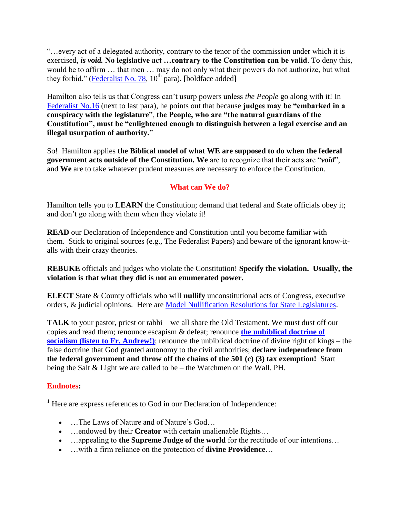"…every act of a delegated authority, contrary to the tenor of the commission under which it is exercised, *is void.* **No legislative act …contrary to the Constitution can be valid**. To deny this, would be to affirm … that men … may do not only what their powers do not authorize, but what they forbid." [\(Federalist No. 78,](http://www.foundingfathers.info/federalistpapers/fed78.htm)  $10^{th}$  para). [boldface added]

Hamilton also tells us that Congress can't usurp powers unless *the People* go along with it! In [Federalist No.16](http://www.foundingfathers.info/federalistpapers/fed16.htm) (next to last para), he points out that because **judges may be "embarked in a conspiracy with the legislature**", **the People, who are "the natural guardians of the Constitution", must be "enlightened enough to distinguish between a legal exercise and an illegal usurpation of authority.**"

So! Hamilton applies **the Biblical model of what WE are supposed to do when the federal government acts outside of the Constitution. We** are to recognize that their acts are "*void*", and **We** are to take whatever prudent measures are necessary to enforce the Constitution.

## **What can We do?**

Hamilton tells you to **LEARN** the Constitution; demand that federal and State officials obey it; and don't go along with them when they violate it!

**READ** our Declaration of Independence and Constitution until you become familiar with them. Stick to original sources (e.g., The Federalist Papers) and beware of the ignorant know-italls with their crazy theories.

**REBUKE** officials and judges who violate the Constitution! **Specify the violation. Usually, the violation is that what they did is not an enumerated power.**

**ELECT** State & County officials who will **nullify** unconstitutional acts of Congress, executive orders, & judicial opinions. Here are [Model Nullification Resolutions for State Legislatures.](https://publiushuldah.wordpress.com/2012/03/13/model-nullification-resolutions-for-state-legislatures/)

**TALK** to your pastor, priest or rabbi – we all share the Old Testament. We must dust off our copies and read them; renounce escapism & defeat; renounce **[the unbiblical doctrine of](http://www.stthomasmore.org/homily/key-christian-principles-personal-choice-and-private-property)  [socialism \(listen to Fr. Andrew!\)](http://www.stthomasmore.org/homily/key-christian-principles-personal-choice-and-private-property)**; renounce the unbiblical doctrine of divine right of kings – the false doctrine that God granted autonomy to the civil authorities; **declare independence from the federal government and throw off the chains of the 501 (c) (3) tax exemption!** Start being the Salt & Light we are called to be – the Watchmen on the Wall. PH.

## **Endnotes:**

**<sup>1</sup>** Here are express references to God in our Declaration of Independence:

- ... The Laws of Nature and of Nature's God...
- ...endowed by their **Creator** with certain unalienable Rights...
- ...appealing to **the Supreme Judge of the world** for the rectitude of our intentions...
- …with a firm reliance on the protection of **divine Providence**…